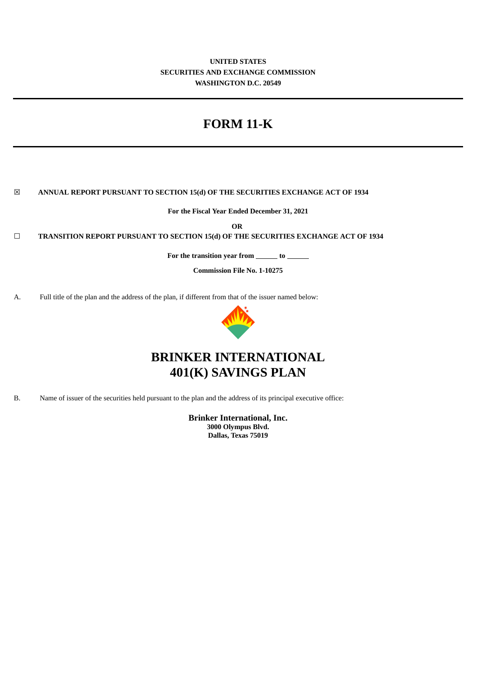# **UNITED STATES SECURITIES AND EXCHANGE COMMISSION WASHINGTON D.C. 20549**

# **FORM 11-K**

## ☒ **ANNUAL REPORT PURSUANT TO SECTION 15(d) OF THE SECURITIES EXCHANGE ACT OF 1934**

**For the Fiscal Year Ended December 31, 2021**

**OR**

☐ **TRANSITION REPORT PURSUANT TO SECTION 15(d) OF THE SECURITIES EXCHANGE ACT OF 1934**

**For the transition year from to**

**Commission File No. 1-10275**

A. Full title of the plan and the address of the plan, if different from that of the issuer named below:



# **BRINKER INTERNATIONAL 401(K) SAVINGS PLAN**

<span id="page-0-0"></span>B. Name of issuer of the securities held pursuant to the plan and the address of its principal executive office:

**Brinker International, Inc. 3000 Olympus Blvd. Dallas, Texas 75019**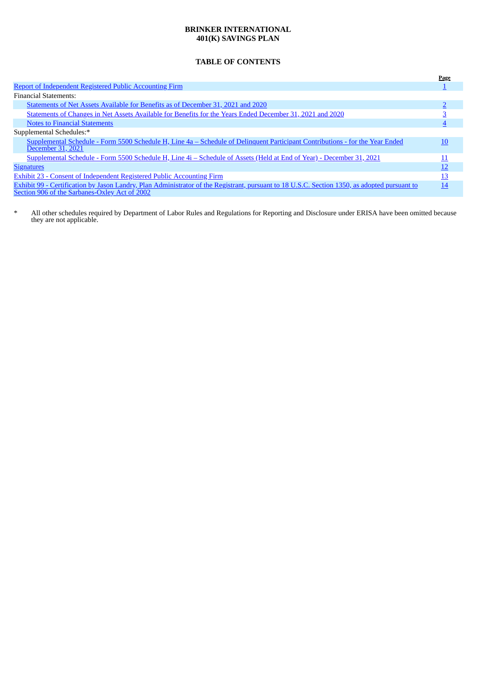# **TABLE OF CONTENTS**

|                                                                                                                                                                                               | Page      |
|-----------------------------------------------------------------------------------------------------------------------------------------------------------------------------------------------|-----------|
| Report of Independent Registered Public Accounting Firm                                                                                                                                       |           |
| <b>Financial Statements:</b>                                                                                                                                                                  |           |
| Statements of Net Assets Available for Benefits as of December 31, 2021 and 2020                                                                                                              |           |
| Statements of Changes in Net Assets Available for Benefits for the Years Ended December 31, 2021 and 2020                                                                                     |           |
| <b>Notes to Financial Statements</b>                                                                                                                                                          |           |
| Supplemental Schedules:*                                                                                                                                                                      |           |
| Supplemental Schedule - Form 5500 Schedule H, Line 4a - Schedule of Delinquent Participant Contributions - for the Year Ended<br>December 31, 2021                                            | <b>10</b> |
| Supplemental Schedule - Form 5500 Schedule H, Line 4i - Schedule of Assets (Held at End of Year) - December 31, 2021                                                                          | 11        |
| <b>Signatures</b>                                                                                                                                                                             | 12        |
| Exhibit 23 - Consent of Independent Registered Public Accounting Firm                                                                                                                         | 13        |
| Exhibit 99 - Certification by Jason Landry, Plan Administrator of the Registrant, pursuant to 18 U.S.C. Section 1350, as adopted pursuant to<br>Section 906 of the Sarbanes-Oxley Act of 2002 | 14        |

<span id="page-1-0"></span>\* All other schedules required by Department of Labor Rules and Regulations for Reporting and Disclosure under ERISA have been omitted because they are not applicable.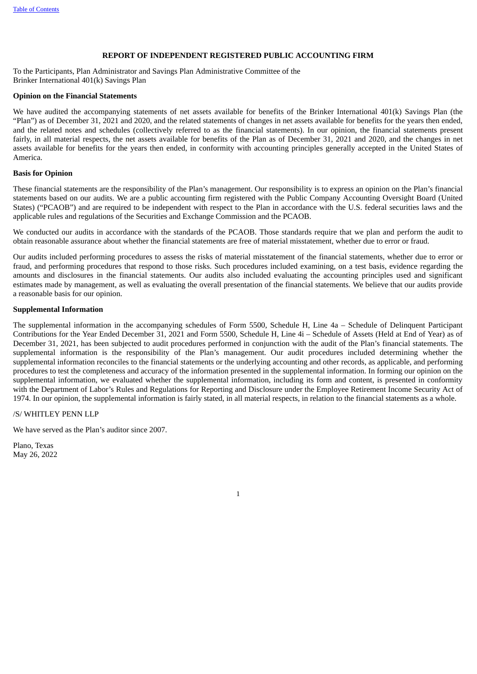## **REPORT OF INDEPENDENT REGISTERED PUBLIC ACCOUNTING FIRM**

To the Participants, Plan Administrator and Savings Plan Administrative Committee of the Brinker International 401(k) Savings Plan

#### **Opinion on the Financial Statements**

We have audited the accompanying statements of net assets available for benefits of the Brinker International 401(k) Savings Plan (the "Plan") as of December 31, 2021 and 2020, and the related statements of changes in net assets available for benefits for the years then ended, and the related notes and schedules (collectively referred to as the financial statements). In our opinion, the financial statements present fairly, in all material respects, the net assets available for benefits of the Plan as of December 31, 2021 and 2020, and the changes in net assets available for benefits for the years then ended, in conformity with accounting principles generally accepted in the United States of America.

#### **Basis for Opinion**

These financial statements are the responsibility of the Plan's management. Our responsibility is to express an opinion on the Plan's financial statements based on our audits. We are a public accounting firm registered with the Public Company Accounting Oversight Board (United States) ("PCAOB") and are required to be independent with respect to the Plan in accordance with the U.S. federal securities laws and the applicable rules and regulations of the Securities and Exchange Commission and the PCAOB.

We conducted our audits in accordance with the standards of the PCAOB. Those standards require that we plan and perform the audit to obtain reasonable assurance about whether the financial statements are free of material misstatement, whether due to error or fraud.

Our audits included performing procedures to assess the risks of material misstatement of the financial statements, whether due to error or fraud, and performing procedures that respond to those risks. Such procedures included examining, on a test basis, evidence regarding the amounts and disclosures in the financial statements. Our audits also included evaluating the accounting principles used and significant estimates made by management, as well as evaluating the overall presentation of the financial statements. We believe that our audits provide a reasonable basis for our opinion.

#### **Supplemental Information**

The supplemental information in the accompanying schedules of Form 5500, Schedule H, Line 4a – Schedule of Delinquent Participant Contributions for the Year Ended December 31, 2021 and Form 5500, Schedule H, Line 4i – Schedule of Assets (Held at End of Year) as of December 31, 2021, has been subjected to audit procedures performed in conjunction with the audit of the Plan's financial statements. The supplemental information is the responsibility of the Plan's management. Our audit procedures included determining whether the supplemental information reconciles to the financial statements or the underlying accounting and other records, as applicable, and performing procedures to test the completeness and accuracy of the information presented in the supplemental information. In forming our opinion on the supplemental information, we evaluated whether the supplemental information, including its form and content, is presented in conformity with the Department of Labor's Rules and Regulations for Reporting and Disclosure under the Employee Retirement Income Security Act of 1974. In our opinion, the supplemental information is fairly stated, in all material respects, in relation to the financial statements as a whole.

# /S/ WHITLEY PENN LLP

We have served as the Plan's auditor since 2007.

<span id="page-2-0"></span>Plano, Texas May 26, 2022

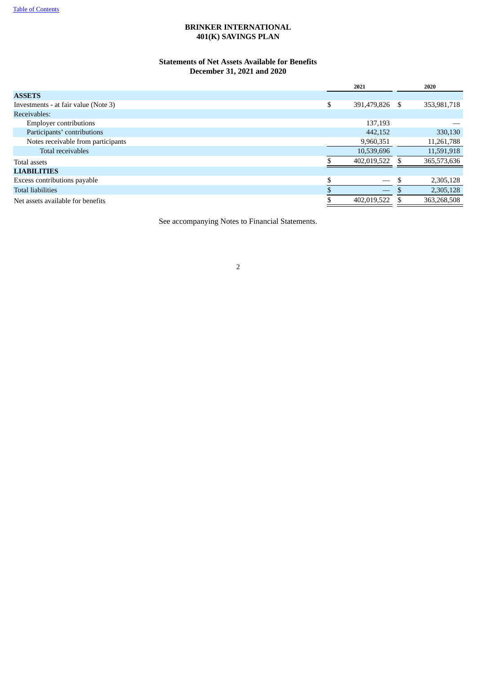# **Statements of Net Assets Available for Benefits December 31, 2021 and 2020**

|                                      | 2021                 | 2020        |
|--------------------------------------|----------------------|-------------|
| <b>ASSETS</b>                        |                      |             |
| Investments - at fair value (Note 3) | \$<br>391,479,826 \$ | 353,981,718 |
| Receivables:                         |                      |             |
| <b>Employer contributions</b>        | 137,193              |             |
| Participants' contributions          | 442,152              | 330,130     |
| Notes receivable from participants   | 9,960,351            | 11,261,788  |
| Total receivables                    | 10,539,696           | 11,591,918  |
| Total assets                         | 402,019,522          | 365,573,636 |
| <b>LIABILITIES</b>                   |                      |             |
| Excess contributions payable         |                      | 2,305,128   |
| <b>Total liabilities</b>             |                      | 2,305,128   |
| Net assets available for benefits    | 402,019,522          | 363,268,508 |

<span id="page-3-0"></span>See accompanying Notes to Financial Statements.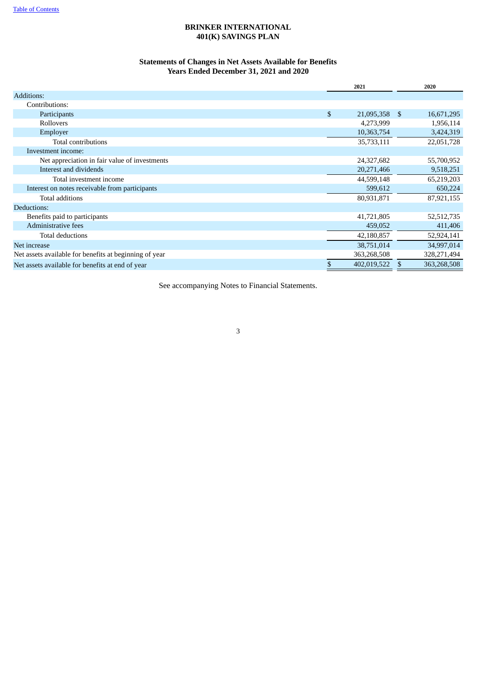# **Statements of Changes in Net Assets Available for Benefits Years Ended December 31, 2021 and 2020**

|                                                        | 2021              |               | 2020        |
|--------------------------------------------------------|-------------------|---------------|-------------|
| Additions:                                             |                   |               |             |
| Contributions:                                         |                   |               |             |
| Participants                                           | \$<br>21,095,358  | <sup>\$</sup> | 16,671,295  |
| Rollovers                                              | 4,273,999         |               | 1,956,114   |
| Employer                                               | 10,363,754        |               | 3,424,319   |
| <b>Total contributions</b>                             | 35,733,111        |               | 22,051,728  |
| Investment income:                                     |                   |               |             |
| Net appreciation in fair value of investments          | 24,327,682        |               | 55,700,952  |
| Interest and dividends                                 | 20,271,466        |               | 9,518,251   |
| Total investment income                                | 44,599,148        |               | 65,219,203  |
| Interest on notes receivable from participants         | 599,612           |               | 650,224     |
| Total additions                                        | 80,931,871        |               | 87,921,155  |
| Deductions:                                            |                   |               |             |
| Benefits paid to participants                          | 41,721,805        |               | 52,512,735  |
| Administrative fees                                    | 459,052           |               | 411,406     |
| <b>Total deductions</b>                                | 42,180,857        |               | 52,924,141  |
| Net increase                                           | 38,751,014        |               | 34,997,014  |
| Net assets available for benefits at beginning of year | 363,268,508       |               | 328,271,494 |
| Net assets available for benefits at end of year       | \$<br>402,019,522 | \$            | 363,268,508 |

<span id="page-4-0"></span>See accompanying Notes to Financial Statements.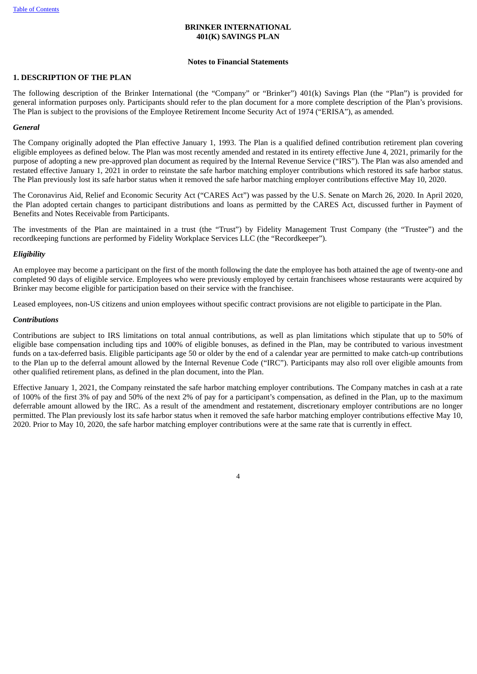#### **Notes to Financial Statements**

#### **1. DESCRIPTION OF THE PLAN**

The following description of the Brinker International (the "Company" or "Brinker") 401(k) Savings Plan (the "Plan") is provided for general information purposes only. Participants should refer to the plan document for a more complete description of the Plan's provisions. The Plan is subject to the provisions of the Employee Retirement Income Security Act of 1974 ("ERISA"), as amended.

#### *General*

The Company originally adopted the Plan effective January 1, 1993. The Plan is a qualified defined contribution retirement plan covering eligible employees as defined below. The Plan was most recently amended and restated in its entirety effective June 4, 2021, primarily for the purpose of adopting a new pre-approved plan document as required by the Internal Revenue Service ("IRS"). The Plan was also amended and restated effective January 1, 2021 in order to reinstate the safe harbor matching employer contributions which restored its safe harbor status. The Plan previously lost its safe harbor status when it removed the safe harbor matching employer contributions effective May 10, 2020.

The Coronavirus Aid, Relief and Economic Security Act ("CARES Act") was passed by the U.S. Senate on March 26, 2020. In April 2020, the Plan adopted certain changes to participant distributions and loans as permitted by the CARES Act, discussed further in Payment of Benefits and Notes Receivable from Participants.

The investments of the Plan are maintained in a trust (the "Trust") by Fidelity Management Trust Company (the "Trustee") and the recordkeeping functions are performed by Fidelity Workplace Services LLC (the "Recordkeeper").

#### *Eligibility*

An employee may become a participant on the first of the month following the date the employee has both attained the age of twenty-one and completed 90 days of eligible service. Employees who were previously employed by certain franchisees whose restaurants were acquired by Brinker may become eligible for participation based on their service with the franchisee.

Leased employees, non-US citizens and union employees without specific contract provisions are not eligible to participate in the Plan.

#### *Contributions*

Contributions are subject to IRS limitations on total annual contributions, as well as plan limitations which stipulate that up to 50% of eligible base compensation including tips and 100% of eligible bonuses, as defined in the Plan, may be contributed to various investment funds on a tax-deferred basis. Eligible participants age 50 or older by the end of a calendar year are permitted to make catch-up contributions to the Plan up to the deferral amount allowed by the Internal Revenue Code ("IRC"). Participants may also roll over eligible amounts from other qualified retirement plans, as defined in the plan document, into the Plan.

Effective January 1, 2021, the Company reinstated the safe harbor matching employer contributions. The Company matches in cash at a rate of 100% of the first 3% of pay and 50% of the next 2% of pay for a participant's compensation, as defined in the Plan, up to the maximum deferrable amount allowed by the IRC. As a result of the amendment and restatement, discretionary employer contributions are no longer permitted. The Plan previously lost its safe harbor status when it removed the safe harbor matching employer contributions effective May 10, 2020. Prior to May 10, 2020, the safe harbor matching employer contributions were at the same rate that is currently in effect.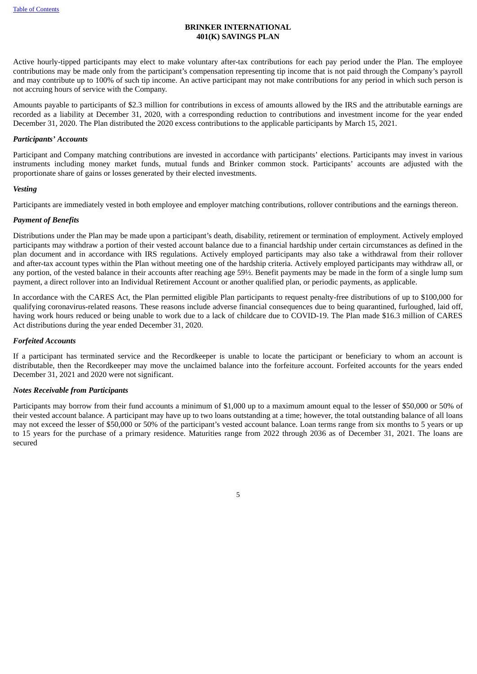Active hourly-tipped participants may elect to make voluntary after-tax contributions for each pay period under the Plan. The employee contributions may be made only from the participant's compensation representing tip income that is not paid through the Company's payroll and may contribute up to 100% of such tip income. An active participant may not make contributions for any period in which such person is not accruing hours of service with the Company.

Amounts payable to participants of \$2.3 million for contributions in excess of amounts allowed by the IRS and the attributable earnings are recorded as a liability at December 31, 2020, with a corresponding reduction to contributions and investment income for the year ended December 31, 2020. The Plan distributed the 2020 excess contributions to the applicable participants by March 15, 2021.

#### *Participants' Accounts*

Participant and Company matching contributions are invested in accordance with participants' elections. Participants may invest in various instruments including money market funds, mutual funds and Brinker common stock. Participants' accounts are adjusted with the proportionate share of gains or losses generated by their elected investments.

#### *Vesting*

Participants are immediately vested in both employee and employer matching contributions, rollover contributions and the earnings thereon.

## *Payment of Benefits*

Distributions under the Plan may be made upon a participant's death, disability, retirement or termination of employment. Actively employed participants may withdraw a portion of their vested account balance due to a financial hardship under certain circumstances as defined in the plan document and in accordance with IRS regulations. Actively employed participants may also take a withdrawal from their rollover and after-tax account types within the Plan without meeting one of the hardship criteria. Actively employed participants may withdraw all, or any portion, of the vested balance in their accounts after reaching age 59½. Benefit payments may be made in the form of a single lump sum payment, a direct rollover into an Individual Retirement Account or another qualified plan, or periodic payments, as applicable.

In accordance with the CARES Act, the Plan permitted eligible Plan participants to request penalty-free distributions of up to \$100,000 for qualifying coronavirus-related reasons. These reasons include adverse financial consequences due to being quarantined, furloughed, laid off, having work hours reduced or being unable to work due to a lack of childcare due to COVID-19. The Plan made \$16.3 million of CARES Act distributions during the year ended December 31, 2020.

#### *Forfeited Accounts*

If a participant has terminated service and the Recordkeeper is unable to locate the participant or beneficiary to whom an account is distributable, then the Recordkeeper may move the unclaimed balance into the forfeiture account. Forfeited accounts for the years ended December 31, 2021 and 2020 were not significant.

#### *Notes Receivable from Participants*

Participants may borrow from their fund accounts a minimum of \$1,000 up to a maximum amount equal to the lesser of \$50,000 or 50% of their vested account balance. A participant may have up to two loans outstanding at a time; however, the total outstanding balance of all loans may not exceed the lesser of \$50,000 or 50% of the participant's vested account balance. Loan terms range from six months to 5 years or up to 15 years for the purchase of a primary residence. Maturities range from 2022 through 2036 as of December 31, 2021. The loans are secured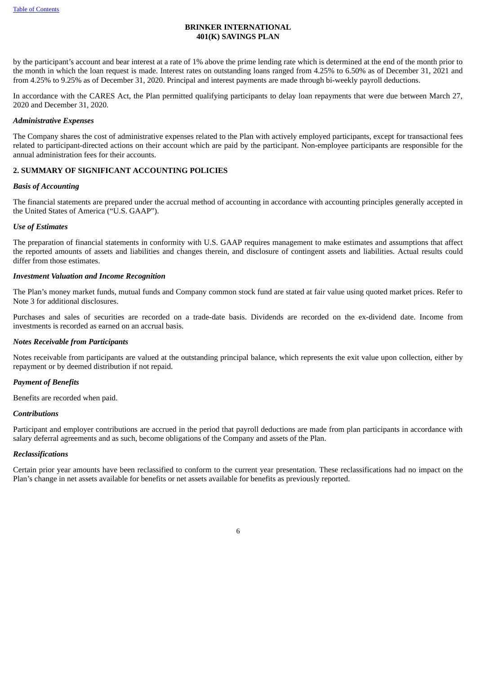by the participant's account and bear interest at a rate of 1% above the prime lending rate which is determined at the end of the month prior to the month in which the loan request is made. Interest rates on outstanding loans ranged from 4.25% to 6.50% as of December 31, 2021 and from 4.25% to 9.25% as of December 31, 2020. Principal and interest payments are made through bi-weekly payroll deductions.

In accordance with the CARES Act, the Plan permitted qualifying participants to delay loan repayments that were due between March 27, 2020 and December 31, 2020.

#### *Administrative Expenses*

The Company shares the cost of administrative expenses related to the Plan with actively employed participants, except for transactional fees related to participant-directed actions on their account which are paid by the participant. Non-employee participants are responsible for the annual administration fees for their accounts.

# **2. SUMMARY OF SIGNIFICANT ACCOUNTING POLICIES**

#### *Basis of Accounting*

The financial statements are prepared under the accrual method of accounting in accordance with accounting principles generally accepted in the United States of America ("U.S. GAAP").

#### *Use of Estimates*

The preparation of financial statements in conformity with U.S. GAAP requires management to make estimates and assumptions that affect the reported amounts of assets and liabilities and changes therein, and disclosure of contingent assets and liabilities. Actual results could differ from those estimates.

# *Investment Valuation and Income Recognition*

The Plan's money market funds, mutual funds and Company common stock fund are stated at fair value using quoted market prices. Refer to Note 3 for additional disclosures.

Purchases and sales of securities are recorded on a trade-date basis. Dividends are recorded on the ex-dividend date. Income from investments is recorded as earned on an accrual basis.

## *Notes Receivable from Participants*

Notes receivable from participants are valued at the outstanding principal balance, which represents the exit value upon collection, either by repayment or by deemed distribution if not repaid.

## *Payment of Benefits*

Benefits are recorded when paid.

#### *Contributions*

Participant and employer contributions are accrued in the period that payroll deductions are made from plan participants in accordance with salary deferral agreements and as such, become obligations of the Company and assets of the Plan.

## *Reclassifications*

Certain prior year amounts have been reclassified to conform to the current year presentation. These reclassifications had no impact on the Plan's change in net assets available for benefits or net assets available for benefits as previously reported.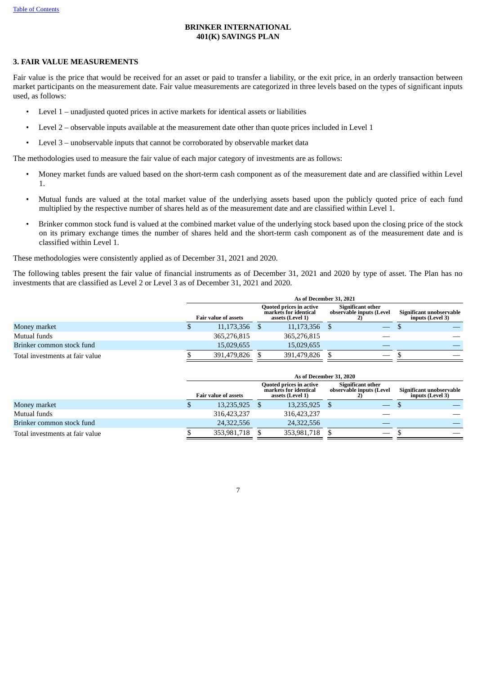### **3. FAIR VALUE MEASUREMENTS**

Fair value is the price that would be received for an asset or paid to transfer a liability, or the exit price, in an orderly transaction between market participants on the measurement date. Fair value measurements are categorized in three levels based on the types of significant inputs used, as follows:

- Level 1 unadjusted quoted prices in active markets for identical assets or liabilities
- Level 2 observable inputs available at the measurement date other than quote prices included in Level 1
- Level 3 unobservable inputs that cannot be corroborated by observable market data

The methodologies used to measure the fair value of each major category of investments are as follows:

- Money market funds are valued based on the short-term cash component as of the measurement date and are classified within Level 1.
- Mutual funds are valued at the total market value of the underlying assets based upon the publicly quoted price of each fund multiplied by the respective number of shares held as of the measurement date and are classified within Level 1.
- Brinker common stock fund is valued at the combined market value of the underlying stock based upon the closing price of the stock on its primary exchange times the number of shares held and the short-term cash component as of the measurement date and is classified within Level 1.

These methodologies were consistently applied as of December 31, 2021 and 2020.

The following tables present the fair value of financial instruments as of December 31, 2021 and 2020 by type of asset. The Plan has no investments that are classified as Level 2 or Level 3 as of December 31, 2021 and 2020.

|                                 |  | As of December 31, 2021     |  |                                                                      |  |                                                      |  |                                              |  |
|---------------------------------|--|-----------------------------|--|----------------------------------------------------------------------|--|------------------------------------------------------|--|----------------------------------------------|--|
|                                 |  | <b>Fair value of assets</b> |  | Quoted prices in active<br>markets for identical<br>assets (Level 1) |  | <b>Significant other</b><br>observable inputs (Level |  | Significant unobservable<br>inputs (Level 3) |  |
| Money market                    |  | $11,173,356$ \$             |  | 11,173,356                                                           |  |                                                      |  |                                              |  |
| Mutual funds                    |  | 365,276,815                 |  | 365,276,815                                                          |  |                                                      |  |                                              |  |
| Brinker common stock fund       |  | 15,029,655                  |  | 15,029,655                                                           |  |                                                      |  |                                              |  |
| Total investments at fair value |  | 391,479,826                 |  | 391,479,826                                                          |  | $\overbrace{\phantom{aaaaa}}$                        |  |                                              |  |

|                                 |                             | As of December 31, 2020 |  |                                                                      |                                                      |                               |                                              |  |
|---------------------------------|-----------------------------|-------------------------|--|----------------------------------------------------------------------|------------------------------------------------------|-------------------------------|----------------------------------------------|--|
|                                 | <b>Fair value of assets</b> |                         |  | Quoted prices in active<br>markets for identical<br>assets (Level 1) | <b>Significant other</b><br>observable inputs (Level |                               | Significant unobservable<br>inputs (Level 3) |  |
| Money market                    |                             | 13,235,925              |  | 13,235,925                                                           |                                                      | $\equiv$                      |                                              |  |
| Mutual funds                    |                             | 316,423,237             |  | 316,423,237                                                          |                                                      |                               |                                              |  |
| Brinker common stock fund       |                             | 24,322,556              |  | 24,322,556                                                           |                                                      |                               |                                              |  |
| Total investments at fair value |                             | 353,981,718             |  | 353,981,718                                                          |                                                      | $\overbrace{\phantom{aaaaa}}$ |                                              |  |

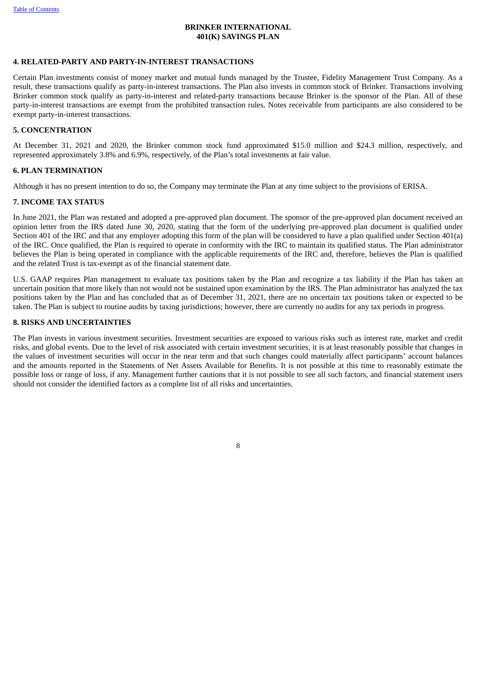#### **4. RELATED-PARTY AND PARTY-IN-INTEREST TRANSACTIONS**

Certain Plan investments consist of money market and mutual funds managed by the Trustee, Fidelity Management Trust Company. As a result, these transactions qualify as party-in-interest transactions. The Plan also invests in common stock of Brinker. Transactions involving Brinker common stock qualify as party-in-interest and related-party transactions because Brinker is the sponsor of the Plan. All of these party-in-interest transactions are exempt from the prohibited transaction rules. Notes receivable from participants are also considered to be exempt party-in-interest transactions.

#### **5. CONCENTRATION**

At December 31, 2021 and 2020, the Brinker common stock fund approximated \$15.0 million and \$24.3 million, respectively, and represented approximately 3.8% and 6.9%, respectively, of the Plan's total investments at fair value.

#### **6. PLAN TERMINATION**

Although it has no present intention to do so, the Company may terminate the Plan at any time subject to the provisions of ERISA.

#### **7. INCOME TAX STATUS**

In June 2021, the Plan was restated and adopted a pre-approved plan document. The sponsor of the pre-approved plan document received an opinion letter from the IRS dated June 30, 2020, stating that the form of the underlying pre-approved plan document is qualified under Section 401 of the IRC and that any employer adopting this form of the plan will be considered to have a plan qualified under Section 401(a) of the IRC. Once qualified, the Plan is required to operate in conformity with the IRC to maintain its qualified status. The Plan administrator believes the Plan is being operated in compliance with the applicable requirements of the IRC and, therefore, believes the Plan is qualified and the related Trust is tax-exempt as of the financial statement date.

U.S. GAAP requires Plan management to evaluate tax positions taken by the Plan and recognize a tax liability if the Plan has taken an uncertain position that more likely than not would not be sustained upon examination by the IRS. The Plan administrator has analyzed the tax positions taken by the Plan and has concluded that as of December 31, 2021, there are no uncertain tax positions taken or expected to be taken. The Plan is subject to routine audits by taxing jurisdictions; however, there are currently no audits for any tax periods in progress.

#### **8. RISKS AND UNCERTAINTIES**

The Plan invests in various investment securities. Investment securities are exposed to various risks such as interest rate, market and credit risks, and global events. Due to the level of risk associated with certain investment securities, it is at least reasonably possible that changes in the values of investment securities will occur in the near term and that such changes could materially affect participants' account balances and the amounts reported in the Statements of Net Assets Available for Benefits. It is not possible at this time to reasonably estimate the possible loss or range of loss, if any. Management further cautions that it is not possible to see all such factors, and financial statement users should not consider the identified factors as a complete list of all risks and uncertainties.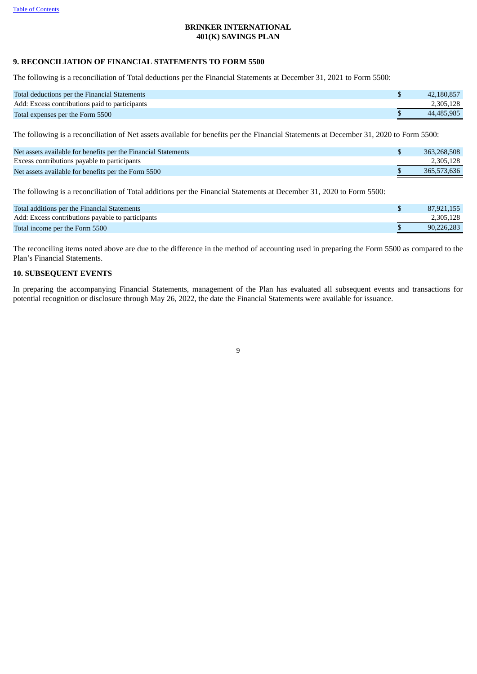### **9. RECONCILIATION OF FINANCIAL STATEMENTS TO FORM 5500**

The following is a reconciliation of Total deductions per the Financial Statements at December 31, 2021 to Form 5500:

| 42.180.857 |
|------------|
| 2,305,128  |
| 44.485.985 |
|            |

The following is a reconciliation of Net assets available for benefits per the Financial Statements at December 31, 2020 to Form 5500:

| Net assets available for benefits per the Financial Statements | 363.268.508 |
|----------------------------------------------------------------|-------------|
| Excess contributions payable to participants                   | 2,305,128   |
| Net assets available for benefits per the Form 5500            | 365.573.636 |

The following is a reconciliation of Total additions per the Financial Statements at December 31, 2020 to Form 5500:

| Total additions per the Financial Statements      | 87.921.155 |
|---------------------------------------------------|------------|
| Add: Excess contributions payable to participants | 2,305,128  |
| Total income per the Form 5500                    | 90,226,283 |

The reconciling items noted above are due to the difference in the method of accounting used in preparing the Form 5500 as compared to the Plan's Financial Statements.

# **10. SUBSEQUENT EVENTS**

<span id="page-10-0"></span>In preparing the accompanying Financial Statements, management of the Plan has evaluated all subsequent events and transactions for potential recognition or disclosure through May 26, 2022, the date the Financial Statements were available for issuance.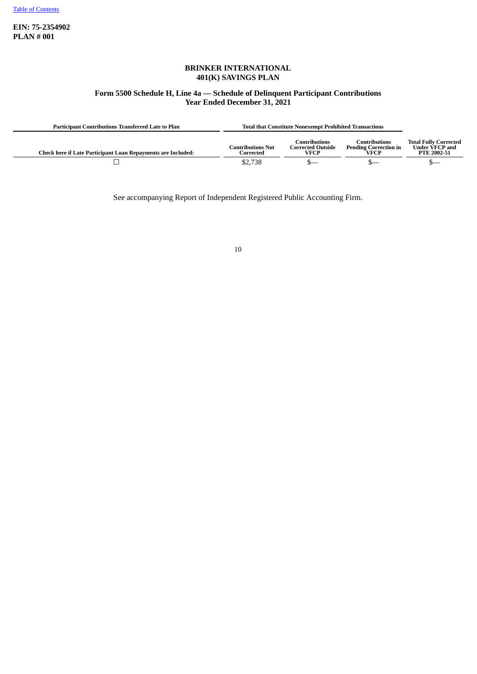**EIN: 75-2354902 PLAN # 001**

# **BRINKER INTERNATIONAL 401(K) SAVINGS PLAN**

# **Form 5500 Schedule H, Line 4a — Schedule of Delinquent Participant Contributions Year Ended December 31, 2021**

| <b>Participant Contributions Transferred Late to Plan</b>           | <b>Total that Constitute Nonexempt Prohibited Transactions</b> |                                            |                                                              |                                                                      |
|---------------------------------------------------------------------|----------------------------------------------------------------|--------------------------------------------|--------------------------------------------------------------|----------------------------------------------------------------------|
| <b>Check here if Late Participant Loan Repayments are Included:</b> | <b>Contributions Not</b><br>Corrected                          | Contributions<br>Corrected Outside<br>VFCP | <b>Contributions</b><br><b>Pending Correction in</b><br>VFCP | <b>Total Fully Corrected</b><br><b>Under VFCP and</b><br>PTE 2002-51 |
|                                                                     | \$2,738                                                        |                                            | $-1$                                                         | ა—                                                                   |

<span id="page-11-0"></span>See accompanying Report of Independent Registered Public Accounting Firm.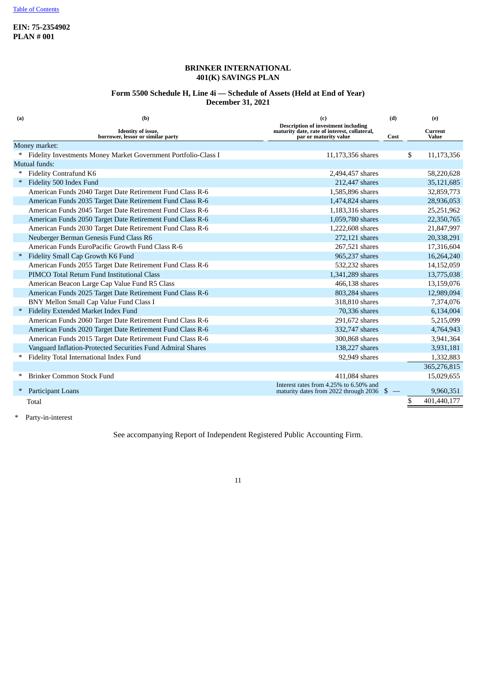# **Form 5500 Schedule H, Line 4i — Schedule of Assets (Held at End of Year) December 31, 2021**

| (a)    | (b)                                                            | (c)                                                                                                                 | (d)  | (e)                     |
|--------|----------------------------------------------------------------|---------------------------------------------------------------------------------------------------------------------|------|-------------------------|
|        | <b>Identity of issue,</b><br>borrower, lessor or similar party | <b>Description of investment including</b><br>maturity date, rate of interest, collateral,<br>par or maturity value | Cost | Current<br><b>Value</b> |
|        | Money market:                                                  |                                                                                                                     |      |                         |
| $\ast$ | Fidelity Investments Money Market Government Portfolio-Class I | 11,173,356 shares                                                                                                   |      | \$<br>11,173,356        |
|        | <b>Mutual funds:</b>                                           |                                                                                                                     |      |                         |
| *      | <b>Fidelity Contrafund K6</b>                                  | 2,494,457 shares                                                                                                    |      | 58,220,628              |
|        | Fidelity 500 Index Fund                                        | 212,447 shares                                                                                                      |      | 35,121,685              |
|        | American Funds 2040 Target Date Retirement Fund Class R-6      | 1,585,896 shares                                                                                                    |      | 32,859,773              |
|        | American Funds 2035 Target Date Retirement Fund Class R-6      | 1,474,824 shares                                                                                                    |      | 28,936,053              |
|        | American Funds 2045 Target Date Retirement Fund Class R-6      | 1,183,316 shares                                                                                                    |      | 25,251,962              |
|        | American Funds 2050 Target Date Retirement Fund Class R-6      | 1,059,780 shares                                                                                                    |      | 22,350,765              |
|        | American Funds 2030 Target Date Retirement Fund Class R-6      | 1,222,608 shares                                                                                                    |      | 21,847,997              |
|        | Neuberger Berman Genesis Fund Class R6                         | 272,121 shares                                                                                                      |      | 20,338,291              |
|        | American Funds EuroPacific Growth Fund Class R-6               | 267,521 shares                                                                                                      |      | 17,316,604              |
|        | Fidelity Small Cap Growth K6 Fund                              | 965,237 shares                                                                                                      |      | 16,264,240              |
|        | American Funds 2055 Target Date Retirement Fund Class R-6      | 532,232 shares                                                                                                      |      | 14,152,059              |
|        | PIMCO Total Return Fund Institutional Class                    | 1,341,289 shares                                                                                                    |      | 13,775,038              |
|        | American Beacon Large Cap Value Fund R5 Class                  | 466,138 shares                                                                                                      |      | 13,159,076              |
|        | American Funds 2025 Target Date Retirement Fund Class R-6      | 803,284 shares                                                                                                      |      | 12,989,094              |
|        | BNY Mellon Small Cap Value Fund Class I                        | 318,810 shares                                                                                                      |      | 7,374,076               |
|        | Fidelity Extended Market Index Fund                            | 70,336 shares                                                                                                       |      | 6,134,004               |
|        | American Funds 2060 Target Date Retirement Fund Class R-6      | 291,672 shares                                                                                                      |      | 5,215,099               |
|        | American Funds 2020 Target Date Retirement Fund Class R-6      | 332,747 shares                                                                                                      |      | 4,764,943               |
|        | American Funds 2015 Target Date Retirement Fund Class R-6      | 300,868 shares                                                                                                      |      | 3,941,364               |
|        | Vanguard Inflation-Protected Securities Fund Admiral Shares    | 138,227 shares                                                                                                      |      | 3,931,181               |
|        | Fidelity Total International Index Fund                        | 92,949 shares                                                                                                       |      | 1,332,883               |
|        |                                                                |                                                                                                                     |      | 365,276,815             |
|        | Brinker Common Stock Fund                                      | 411,084 shares                                                                                                      |      | 15,029,655              |
|        | <b>Participant Loans</b>                                       | Interest rates from 4.25% to 6.50% and<br>maturity dates from 2022 through 2036                                     | S.   | 9,960,351               |
|        | Total                                                          |                                                                                                                     |      | \$<br>401,440,177       |

<span id="page-12-0"></span>\* Party-in-interest

See accompanying Report of Independent Registered Public Accounting Firm.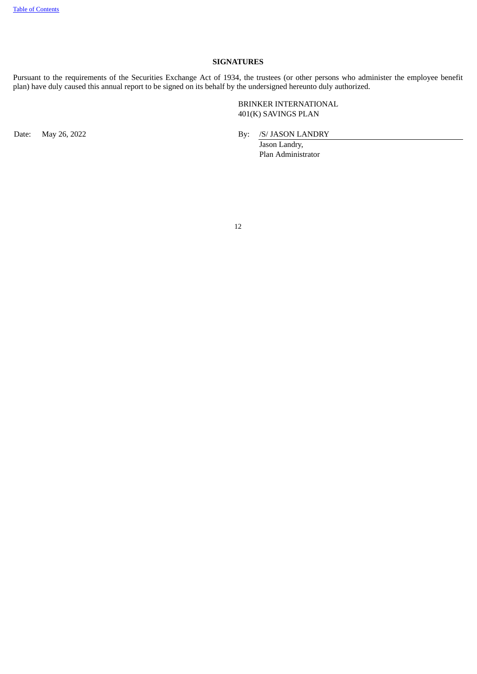# **SIGNATURES**

Pursuant to the requirements of the Securities Exchange Act of 1934, the trustees (or other persons who administer the employee benefit plan) have duly caused this annual report to be signed on its behalf by the undersigned hereunto duly authorized.

> BRINKER INTERNATIONAL 401(K) SAVINGS PLAN

Date: May 26, 2022 By: /S/ JASON LANDRY

Jason Landry, Plan Administrator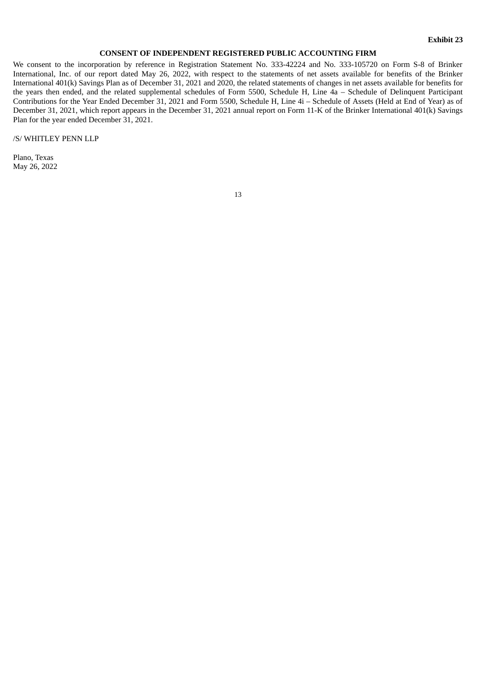#### **CONSENT OF INDEPENDENT REGISTERED PUBLIC ACCOUNTING FIRM**

<span id="page-14-0"></span>We consent to the incorporation by reference in Registration Statement No. 333-42224 and No. 333-105720 on Form S-8 of Brinker International, Inc. of our report dated May 26, 2022, with respect to the statements of net assets available for benefits of the Brinker International 401(k) Savings Plan as of December 31, 2021 and 2020, the related statements of changes in net assets available for benefits for the years then ended, and the related supplemental schedules of Form 5500, Schedule H, Line 4a – Schedule of Delinquent Participant Contributions for the Year Ended December 31, 2021 and Form 5500, Schedule H, Line 4i – Schedule of Assets (Held at End of Year) as of December 31, 2021, which report appears in the December 31, 2021 annual report on Form 11-K of the Brinker International 401(k) Savings Plan for the year ended December 31, 2021.

/S/ WHITLEY PENN LLP

Plano, Texas May 26, 2022